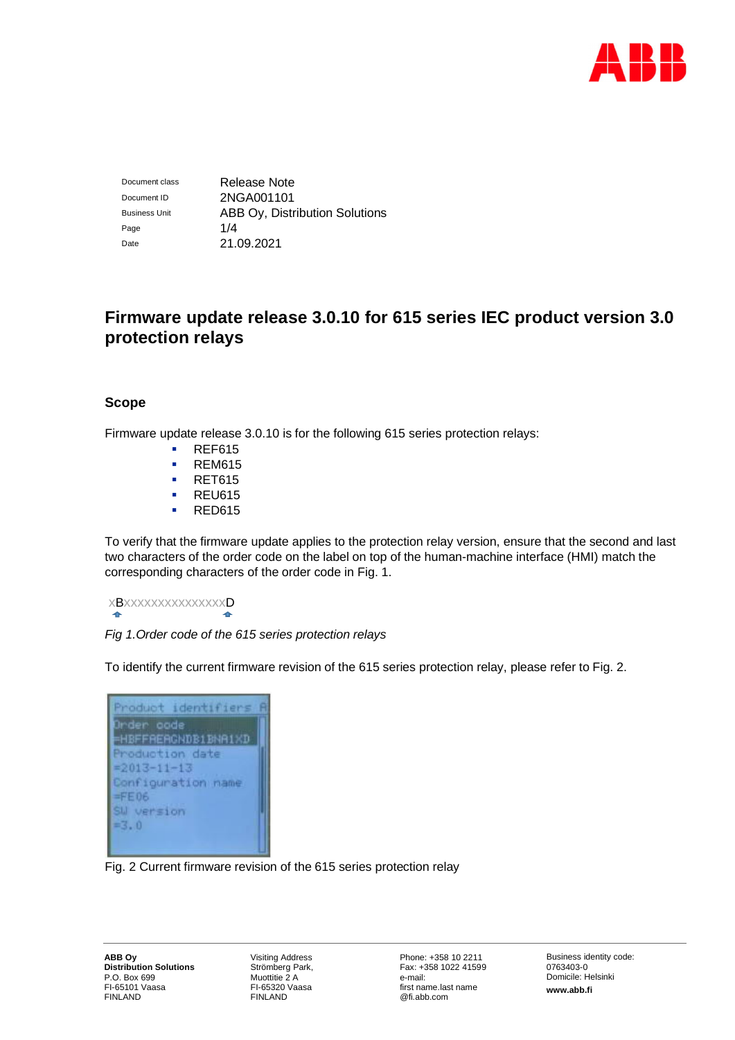

Document class Release Note Document ID 2NGA001101 Business Unit **ABB Oy, Distribution Solutions** Page 1/4 Date 21.09.2021

# **Firmware update release 3.0.10 for 615 series IEC product version 3.0 protection relays**

# **Scope**

Firmware update release 3.0.10 is for the following 615 series protection relays:

- **REF615**
- **REM615**
- **RET615**
- **REU615**
- **RED615**

To verify that the firmware update applies to the protection relay version, ensure that the second and last two characters of the order code on the label on top of the human-machine interface (HMI) match the corresponding characters of the order code in Fig. 1.

 xBxxxxxxxxxxxxxxxD  $\triangle$  $\ddot{\phantom{1}}$ 

## *Fig 1.Order code of the 615 series protection relays*

To identify the current firmware revision of the 615 series protection relay, please refer to Fig. 2.

| Product identifiers                   |  |
|---------------------------------------|--|
| Order oode                            |  |
| HBFFAEAGNDB1BNA1XD<br>Production date |  |
| $= 2013 - 11 - 13$                    |  |
| Configuration name                    |  |
| $=$ $FED6$                            |  |
| SW version<br>$= 3.0$                 |  |
|                                       |  |

Fig. 2 Current firmware revision of the 615 series protection relay

Visiting Address Strömberg Park, Muottitie 2 A FI-65320 Vaasa FINLAND

Phone: +358 10 2211 Fax: +358 1022 41599 e-mail: first name.last name @fi.abb.com

Business identity code: 0763403-0 Domicile: Helsinki **www.abb.fi**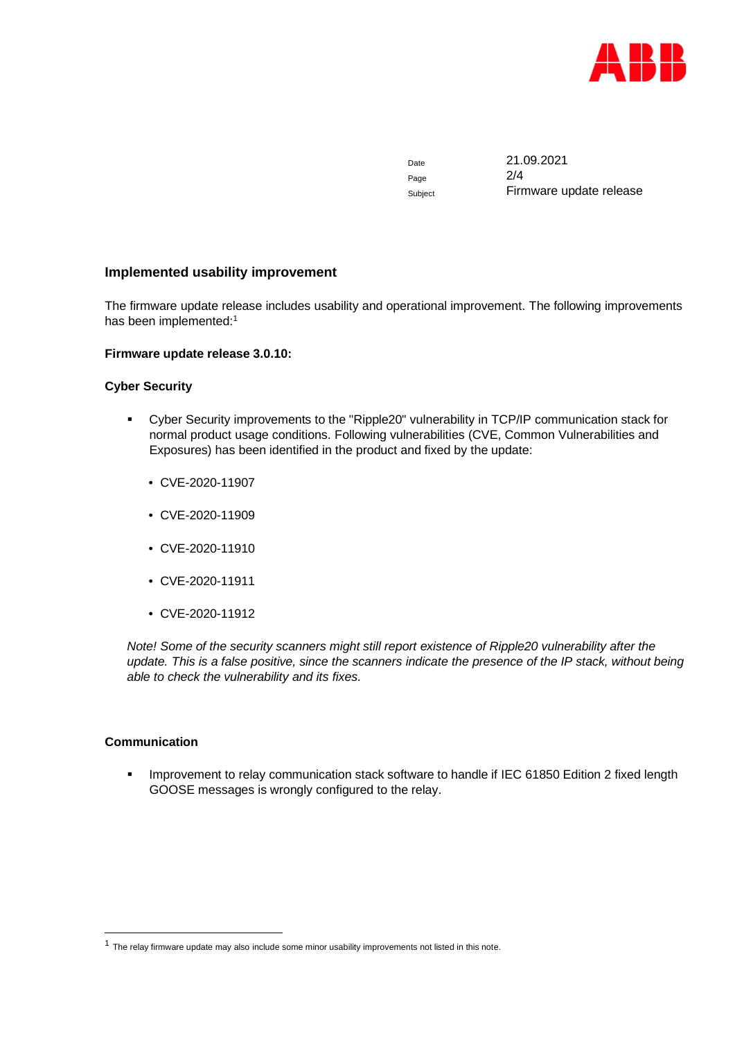

Page 2/4

Date 21.09.2021 Subject Firmware update release

# **Implemented usability improvement**

The firmware update release includes usability and operational improvement. The following improvements has been implemented:<sup>1</sup>

#### **Firmware update release 3.0.10:**

#### **Cyber Security**

- Cyber Security improvements to the "Ripple20" vulnerability in TCP/IP communication stack for normal product usage conditions. Following vulnerabilities (CVE, Common Vulnerabilities and Exposures) has been identified in the product and fixed by the update:
	- CVE-2020-11907
	- CVE-2020-11909
	- CVE-2020-11910
	- CVE-2020-11911
	- CVE-2020-11912

*Note! Some of the security scanners might still report existence of Ripple20 vulnerability after the update. This is a false positive, since the scanners indicate the presence of the IP stack, without being able to check the vulnerability and its fixes.*

#### **Communication**

**IMPROVEMENT SOM EXAM** Improvement to relay communication stack software to handle if IEC 61850 Edition 2 fixed length GOOSE messages is wrongly configured to the relay.

 $<sup>1</sup>$  The relay firmware update may also include some minor usability improvements not listed in this note.</sup>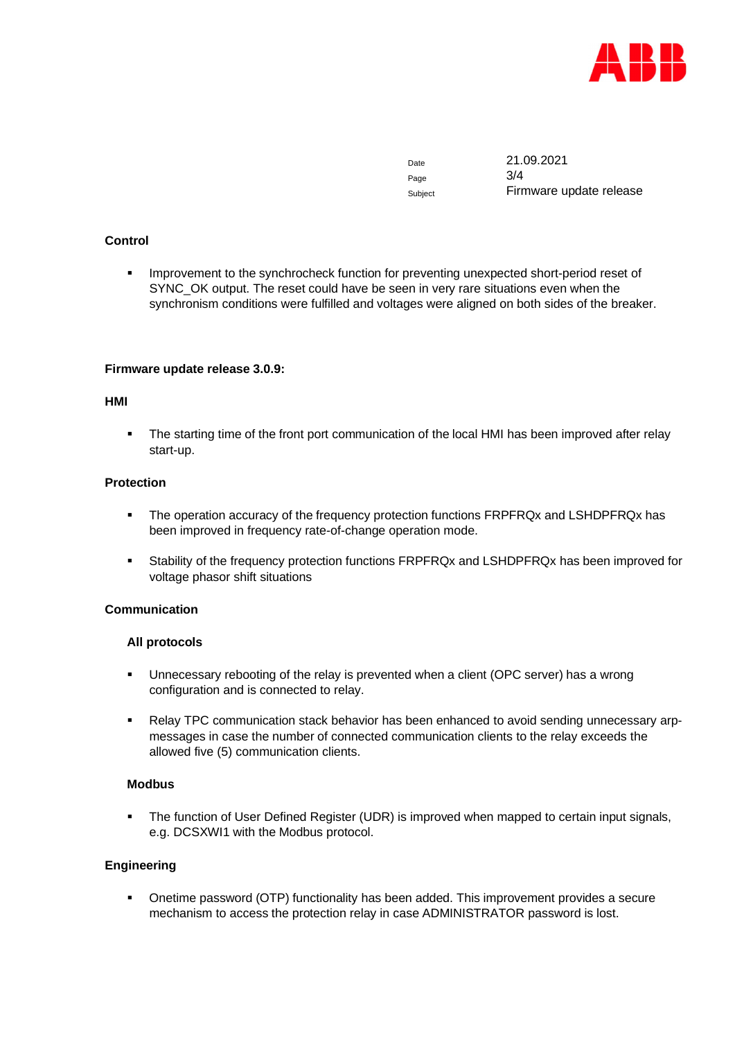

Page 3/4

Date 21.09.2021 Subject Firmware update release

# **Control**

**IMPROVEMENT KOVERGED FOR SYNCHROCHECK** function for preventing unexpected short-period reset of SYNC\_OK output. The reset could have be seen in very rare situations even when the synchronism conditions were fulfilled and voltages were aligned on both sides of the breaker.

## **Firmware update release 3.0.9:**

#### **HMI**

• The starting time of the front port communication of the local HMI has been improved after relay start-up.

#### **Protection**

- **The operation accuracy of the frequency protection functions FRPFRQx and LSHDPFRQx has** been improved in frequency rate-of-change operation mode.
- Stability of the frequency protection functions FRPFRQx and LSHDPFRQx has been improved for voltage phasor shift situations

## **Communication**

#### **All protocols**

- Unnecessary rebooting of the relay is prevented when a client (OPC server) has a wrong configuration and is connected to relay.
- Relay TPC communication stack behavior has been enhanced to avoid sending unnecessary arpmessages in case the number of connected communication clients to the relay exceeds the allowed five (5) communication clients.

## **Modbus**

 The function of User Defined Register (UDR) is improved when mapped to certain input signals, e.g. DCSXWI1 with the Modbus protocol.

## **Engineering**

 Onetime password (OTP) functionality has been added. This improvement provides a secure mechanism to access the protection relay in case ADMINISTRATOR password is lost.